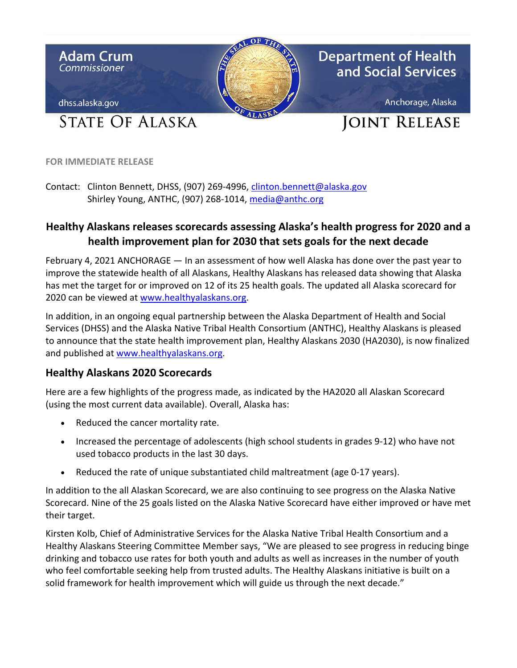

**FOR IMMEDIATE RELEASE** 

Contact: Clinton Bennett, DHSS, (907) 269-4996, [clinton.bennett@alaska.gov](mailto:clinton.bennett@alaska.gov)  Shirley Young, ANTHC, (907) 268-1014, media@anthc.org

## **Healthy Alaskans releases scorecards assessing Alaska's health progress for 2020 and a health improvement plan for 2030 that sets goals for the next decade**

 has met the target for or improved on 12 of its 25 health goals. The updated all Alaska scorecard for 2020 can be viewed at www.healthyalaskans.org. February 4, 2021 ANCHORAGE — In an assessment of how well Alaska has done over the past year to improve the statewide health of all Alaskans, Healthy Alaskans has released data showing that Alaska

 Services (DHSS) and the Alaska Native Tribal Health Consortium (ANTHC), Healthy Alaskans is pleased and published at [www.healthyalaskans.org.](http://www.healthyalaskans.org/) In addition, in an ongoing equal partnership between the Alaska Department of Health and Social to announce that the state health improvement plan, Healthy Alaskans 2030 (HA2030), is now finalized

## **Healthy Alaskans 2020 Scorecards**

 Here are a few highlights of the progress made, as indicated by the HA2020 all Alaskan Scorecard (using the most current data available). Overall, Alaska has:

- Reduced the cancer mortality rate.
- Increased the percentage of adolescents (high school students in grades 9-12) who have not used tobacco products in the last 30 days.
- Reduced the rate of unique substantiated child maltreatment (age 0-17 years).

 Scorecard. Nine of the 25 goals listed on the Alaska Native Scorecard have either improved or have met In addition to the all Alaskan Scorecard, we are also continuing to see progress on the Alaska Native their target.

Kirsten Kolb, Chief of Administrative Services for the Alaska Native Tribal Health Consortium and a Healthy Alaskans Steering Committee Member says, "We are pleased to see progress in reducing binge drinking and tobacco use rates for both youth and adults as well as increases in the number of youth who feel comfortable seeking help from trusted adults. The Healthy Alaskans initiative is built on a solid framework for health improvement which will guide us through the next decade."